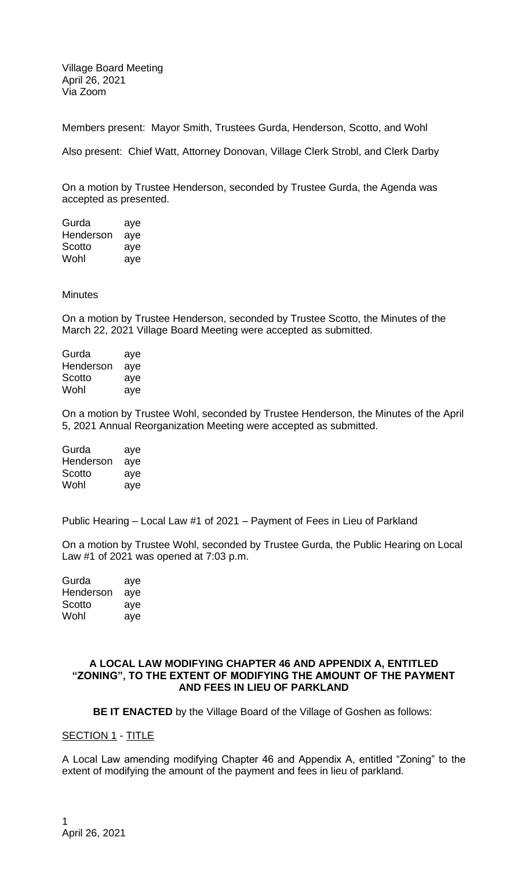Village Board Meeting April 26, 2021 Via Zoom

Members present: Mayor Smith, Trustees Gurda, Henderson, Scotto, and Wohl

Also present: Chief Watt, Attorney Donovan, Village Clerk Strobl, and Clerk Darby

On a motion by Trustee Henderson, seconded by Trustee Gurda, the Agenda was accepted as presented.

| Gurda     | aye |
|-----------|-----|
| Henderson | aye |
| Scotto    | aye |
| Wohl      | aye |

## **Minutes**

On a motion by Trustee Henderson, seconded by Trustee Scotto, the Minutes of the March 22, 2021 Village Board Meeting were accepted as submitted.

Gurda aye Henderson aye Scotto aye Wohl aye

On a motion by Trustee Wohl, seconded by Trustee Henderson, the Minutes of the April 5, 2021 Annual Reorganization Meeting were accepted as submitted.

| Gurda     | aye |
|-----------|-----|
| Henderson | aye |
| Scotto    | aye |
| Wohl      | aye |

Public Hearing – Local Law #1 of 2021 – Payment of Fees in Lieu of Parkland

On a motion by Trustee Wohl, seconded by Trustee Gurda, the Public Hearing on Local Law #1 of 2021 was opened at 7:03 p.m.

| Gurda     | aye |
|-----------|-----|
| Henderson | aye |
| Scotto    | aye |
| Wohl      | aye |

## **A LOCAL LAW MODIFYING CHAPTER 46 AND APPENDIX A, ENTITLED "ZONING", TO THE EXTENT OF MODIFYING THE AMOUNT OF THE PAYMENT AND FEES IN LIEU OF PARKLAND**

**BE IT ENACTED** by the Village Board of the Village of Goshen as follows:

#### SECTION 1 - TITLE

A Local Law amending modifying Chapter 46 and Appendix A, entitled "Zoning" to the extent of modifying the amount of the payment and fees in lieu of parkland.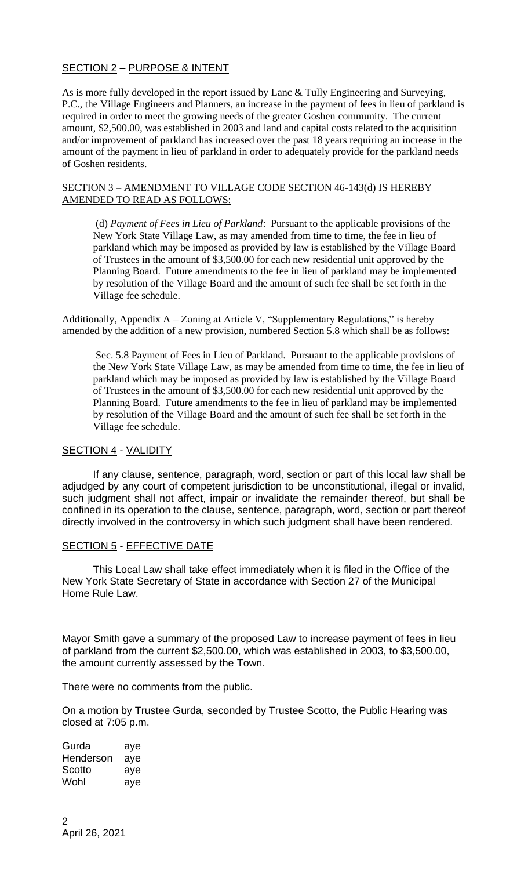# SECTION 2 – PURPOSE & INTENT

As is more fully developed in the report issued by Lanc & Tully Engineering and Surveying, P.C., the Village Engineers and Planners, an increase in the payment of fees in lieu of parkland is required in order to meet the growing needs of the greater Goshen community. The current amount, \$2,500.00, was established in 2003 and land and capital costs related to the acquisition and/or improvement of parkland has increased over the past 18 years requiring an increase in the amount of the payment in lieu of parkland in order to adequately provide for the parkland needs of Goshen residents.

### SECTION 3 – AMENDMENT TO VILLAGE CODE SECTION 46-143(d) IS HEREBY AMENDED TO READ AS FOLLOWS:

(d) *Payment of Fees in Lieu of Parkland*: Pursuant to the applicable provisions of the New York State Village Law, as may amended from time to time, the fee in lieu of parkland which may be imposed as provided by law is established by the Village Board of Trustees in the amount of \$3,500.00 for each new residential unit approved by the Planning Board. Future amendments to the fee in lieu of parkland may be implemented by resolution of the Village Board and the amount of such fee shall be set forth in the Village fee schedule.

Additionally, Appendix  $A - Z$ oning at Article V, "Supplementary Regulations," is hereby amended by the addition of a new provision, numbered Section 5.8 which shall be as follows:

Sec. 5.8 Payment of Fees in Lieu of Parkland. Pursuant to the applicable provisions of the New York State Village Law, as may be amended from time to time, the fee in lieu of parkland which may be imposed as provided by law is established by the Village Board of Trustees in the amount of \$3,500.00 for each new residential unit approved by the Planning Board. Future amendments to the fee in lieu of parkland may be implemented by resolution of the Village Board and the amount of such fee shall be set forth in the Village fee schedule.

## SECTION 4 - VALIDITY

If any clause, sentence, paragraph, word, section or part of this local law shall be adjudged by any court of competent jurisdiction to be unconstitutional, illegal or invalid, such judgment shall not affect, impair or invalidate the remainder thereof, but shall be confined in its operation to the clause, sentence, paragraph, word, section or part thereof directly involved in the controversy in which such judgment shall have been rendered.

## SECTION 5 - EFFECTIVE DATE

This Local Law shall take effect immediately when it is filed in the Office of the New York State Secretary of State in accordance with Section 27 of the Municipal Home Rule Law.

Mayor Smith gave a summary of the proposed Law to increase payment of fees in lieu of parkland from the current \$2,500.00, which was established in 2003, to \$3,500.00, the amount currently assessed by the Town.

There were no comments from the public.

On a motion by Trustee Gurda, seconded by Trustee Scotto, the Public Hearing was closed at 7:05 p.m.

Gurda aye Henderson aye Scotto aye Wohl aye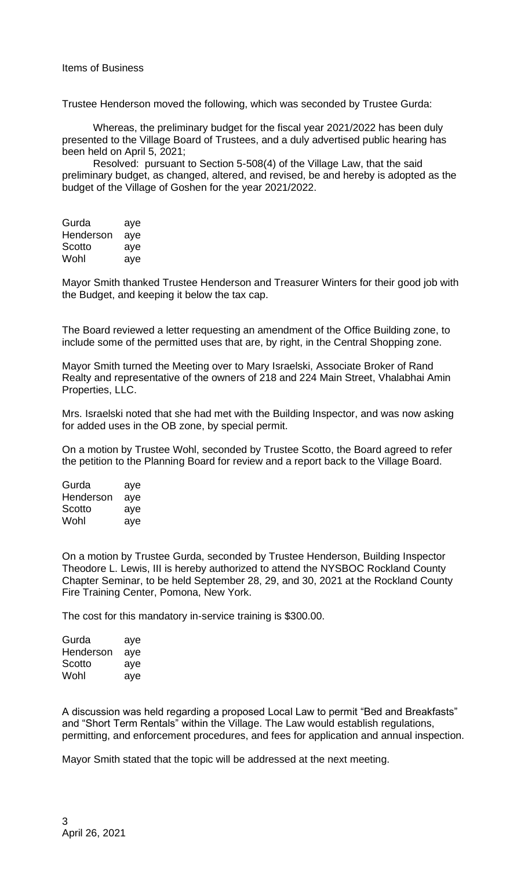Trustee Henderson moved the following, which was seconded by Trustee Gurda:

Whereas, the preliminary budget for the fiscal year 2021/2022 has been duly presented to the Village Board of Trustees, and a duly advertised public hearing has been held on April 5, 2021;

Resolved: pursuant to Section 5-508(4) of the Village Law, that the said preliminary budget, as changed, altered, and revised, be and hereby is adopted as the budget of the Village of Goshen for the year 2021/2022.

| Gurda     | aye |
|-----------|-----|
| Henderson | aye |
| Scotto    | aye |
| Wohl      | aye |

Mayor Smith thanked Trustee Henderson and Treasurer Winters for their good job with the Budget, and keeping it below the tax cap.

The Board reviewed a letter requesting an amendment of the Office Building zone, to include some of the permitted uses that are, by right, in the Central Shopping zone.

Mayor Smith turned the Meeting over to Mary Israelski, Associate Broker of Rand Realty and representative of the owners of 218 and 224 Main Street, Vhalabhai Amin Properties, LLC.

Mrs. Israelski noted that she had met with the Building Inspector, and was now asking for added uses in the OB zone, by special permit.

On a motion by Trustee Wohl, seconded by Trustee Scotto, the Board agreed to refer the petition to the Planning Board for review and a report back to the Village Board.

| Gurda     | aye |
|-----------|-----|
| Henderson | aye |
| Scotto    | aye |
| Wohl      | aye |

On a motion by Trustee Gurda, seconded by Trustee Henderson, Building Inspector Theodore L. Lewis, III is hereby authorized to attend the NYSBOC Rockland County Chapter Seminar, to be held September 28, 29, and 30, 2021 at the Rockland County Fire Training Center, Pomona, New York.

The cost for this mandatory in-service training is \$300.00.

| Gurda     | aye |
|-----------|-----|
| Henderson | aye |
| Scotto    | aye |
| Wohl      | aye |

A discussion was held regarding a proposed Local Law to permit "Bed and Breakfasts" and "Short Term Rentals" within the Village. The Law would establish regulations, permitting, and enforcement procedures, and fees for application and annual inspection.

Mayor Smith stated that the topic will be addressed at the next meeting.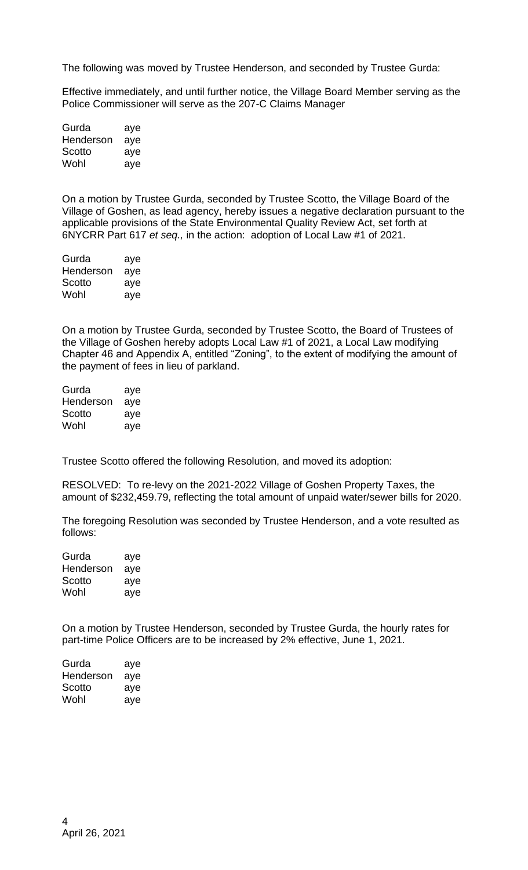The following was moved by Trustee Henderson, and seconded by Trustee Gurda:

Effective immediately, and until further notice, the Village Board Member serving as the Police Commissioner will serve as the 207-C Claims Manager

| Gurda     | aye |
|-----------|-----|
| Henderson | aye |
| Scotto    | aye |
| Wohl      | aye |

On a motion by Trustee Gurda, seconded by Trustee Scotto, the Village Board of the Village of Goshen, as lead agency, hereby issues a negative declaration pursuant to the applicable provisions of the State Environmental Quality Review Act, set forth at 6NYCRR Part 617 *et seq.,* in the action: adoption of Local Law #1 of 2021.

| Gurda     | aye |
|-----------|-----|
| Henderson | aye |
| Scotto    | aye |
| Wohl      | aye |

On a motion by Trustee Gurda, seconded by Trustee Scotto, the Board of Trustees of the Village of Goshen hereby adopts Local Law #1 of 2021, a Local Law modifying Chapter 46 and Appendix A, entitled "Zoning", to the extent of modifying the amount of the payment of fees in lieu of parkland.

| Gurda     | aye |
|-----------|-----|
| Henderson | aye |
| Scotto    | aye |
| Wohl      | aye |

Trustee Scotto offered the following Resolution, and moved its adoption:

RESOLVED: To re-levy on the 2021-2022 Village of Goshen Property Taxes, the amount of \$232,459.79, reflecting the total amount of unpaid water/sewer bills for 2020.

The foregoing Resolution was seconded by Trustee Henderson, and a vote resulted as follows:

| Gurda     | aye |
|-----------|-----|
| Henderson | aye |
| Scotto    | aye |
| Wohl      | aye |

On a motion by Trustee Henderson, seconded by Trustee Gurda, the hourly rates for part-time Police Officers are to be increased by 2% effective, June 1, 2021.

| Gurda     | aye |
|-----------|-----|
| Henderson | aye |
| Scotto    | aye |
| Wohl      | aye |